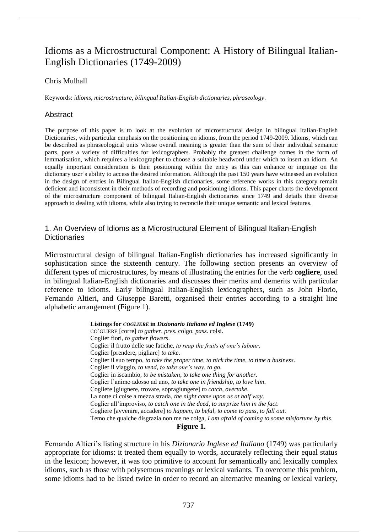# Idioms as a Microstructural Component: A History of Bilingual Italian-English Dictionaries (1749-2009)

# Chris Mulhall

Keywords: *idioms*, *microstructure*, *bilingual Italian-English dictionaries*, *phraseology*.

# Abstract

The purpose of this paper is to look at the evolution of microstructural design in bilingual Italian-English Dictionaries, with particular emphasis on the positioning on idioms, from the period 1749-2009. Idioms, which can be described as phraseological units whose overall meaning is greater than the sum of their individual semantic parts, pose a variety of difficulties for lexicographers. Probably the greatest challenge comes in the form of lemmatisation, which requires a lexicographer to choose a suitable headword under which to insert an idiom. An equally important consideration is their positioning within the entry as this can enhance or impinge on the dictionary user's ability to access the desired information. Although the past 150 years have witnessed an evolution in the design of entries in Bilingual Italian-English dictionaries, some reference works in this category remain deficient and inconsistent in their methods of recording and positioning idioms. This paper charts the development of the microstructure component of bilingual Italian-English dictionaries since 1749 and details their diverse approach to dealing with idioms, while also trying to reconcile their unique semantic and lexical features.

# 1. An Overview of Idioms as a Microstructural Element of Bilingual Italian-English **Dictionaries**

Microstructural design of bilingual Italian-English dictionaries has increased significantly in sophistication since the sixteenth century. The following section presents an overview of different types of microstructures, by means of illustrating the entries for the verb **cogliere**, used in bilingual Italian-English dictionaries and discusses their merits and demerits with particular reference to idioms. Early bilingual Italian-English lexicographers, such as John Florio, Fernando Altieri, and Giuseppe Baretti, organised their entries according to a straight line alphabetic arrangement (Figure 1).

> **Listings for** *COGLIERE* **in** *Dizionario Italiano ed Inglese* **(1749)** CO'GLIERE [corre] *to gather*. *pres*. colgo. *pass*. colsi. Coglier fiori, *to gather flowers*. Coglier il frutto delle sue fatiche, *to reap the fruits of one's labour*. Coglier [prendere, pigliare] *to take*. Coglier il suo tempo, *to take the proper time*, *to nick the time*, *to time a business*. Coglier il viaggio, *to vend*, *to take one's way*, *to go*. Coglier in iscambio, *to be mistaken*, *to take one thing for another*. Coglier l'animo adosso ad uno, *to take one in friendship*, *to love him*. Cogliere [giugnere, trovare, sopragiungere] *to catch*, *overtake*. La notte ci colse a mezza strada, *the night came upon us at half way*. Coglier all'improviso, *to catch one in the deed*, *to surprize him in the fact*. Cogliere [avvenire, accadere] *to happen*, *to befal*, *to come to pass*, *to fall out*. Temo che qualche disgrazia non me ne colga, *I am afraid of coming to some misfortune by this*.

# **Figure 1.**

Fernando Altieri's listing structure in his *Dizionario Inglese ed Italiano* (1749) was particularly appropriate for idioms: it treated them equally to words, accurately reflecting their equal status in the lexicon; however, it was too primitive to account for semantically and lexically complex idioms, such as those with polysemous meanings or lexical variants. To overcome this problem, some idioms had to be listed twice in order to record an alternative meaning or lexical variety,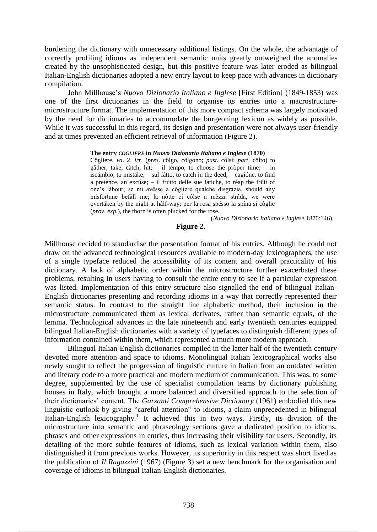burdening the dictionary with unnecessary additional listings. On the whole, the advantage of correctly profiling idioms as independent semantic units greatly outweighed the anomalies created by the unsophisticated design, but this positive feature was later eroded as bilingual Italian-English dictionaries adopted a new entry layout to keep pace with advances in dictionary compilation.

John Millhouse's *Nuovo Dizionario Italiano e Inglese* [First Edition] (1849-1853) was one of the first dictionaries in the field to organise its entries into a macrostructuremicrostructure format. The implementation of this more compact schema was largely motivated by the need for dictionaries to accommodate the burgeoning lexicon as widely as possible. While it was successful in this regard, its design and presentation were not always user-friendly and at times prevented an efficient retrieval of information (Figure 2).

### **The entry** *COGLIERE* **in** *Nuovo Dizionario Italiano e Inglese* **(1870)**

Côgliere, *va*. 2. *irr*. (*pres*. côlgo, côlgono; *past*. côlsi; *part*. côlto) to gâther, take, càtch, hit; – il témpo, to choose the pròper time; – in iscámbio, to mistáke; – sul fátto, to catch in the deed; – cagióne, to find a pretènce, an excúse; – il frútto delle sue fatiche, to réap the frûit of one's lábour; se mi avêsse a côgliere quálche disgrázia, should any misfòrtune befǎll me; la nôtte ci côlse a mêzza stráda, we were overtáken by the night at hâlf-way; per la rosa spésso la spína si côglie (*prov*. *exp*.), the thorn is often plùcked for the rose.

(*Nuovo Dizionario Italiano e Inglese* 1870:146)

# **Figure 2.**

Millhouse decided to standardise the presentation format of his entries. Although he could not draw on the advanced technological resources available to modern-day lexicographers, the use of a single typeface reduced the accessibility of its content and overall practicality of his dictionary. A lack of alphabetic order within the microstructure further exacerbated these problems, resulting in users having to consult the entire entry to see if a particular expression was listed. Implementation of this entry structure also signalled the end of bilingual Italian-English dictionaries presenting and recording idioms in a way that correctly represented their semantic status. In contrast to the straight line alphabetic method, their inclusion in the microstructure communicated them as lexical derivates, rather than semantic equals, of the lemma. Technological advances in the late nineteenth and early twentieth centuries equipped bilingual Italian-English dictionaries with a variety of typefaces to distinguish different types of information contained within them, which represented a much more modern approach.

Bilingual Italian-English dictionaries compiled in the latter half of the twentieth century devoted more attention and space to idioms. Monolingual Italian lexicographical works also newly sought to reflect the progression of linguistic culture in Italian from an outdated written and literary code to a more practical and modern medium of communication. This was, to some degree, supplemented by the use of specialist compilation teams by dictionary publishing houses in Italy, which brought a more balanced and diversified approach to the selection of their dictionaries' content. The *Garzanti Comprehensive Dictionary* (1961) embodied this new linguistic outlook by giving "careful attention" to idioms, a claim unprecedented in bilingual Italian-English lexicography.<sup>1</sup> It achieved this in two ways. Firstly, its division of the microstructure into semantic and phraseology sections gave a dedicated position to idioms, phrases and other expressions in entries, thus increasing their visibility for users. Secondly, its detailing of the more subtle features of idioms, such as lexical variation within them, also distinguished it from previous works. However, its superiority in this respect was short lived as the publication of *Il Ragazzini* (1967) (Figure 3) set a new benchmark for the organisation and coverage of idioms in bilingual Italian-English dictionaries.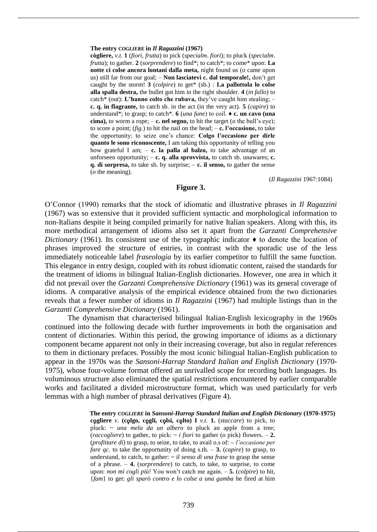#### **The entry** *COGLIERE* **in** *Il Ragazzini* **(1967)**

**cògliere,** *v.t.* **1** (*fiori*, *frutta*) to pick (*specialm*. *fiori*); to pluck (*specialm*. *frutta*); to gather. **2** (*sorprendere*) to find\*; to catch\*; to come\* upon: **La notte ci colse ancora lontani dalla meta,** night found us (*o* came upon us) still far from our goal; – **Non lasciatevi c. dal temporale!,** don't get caught by the storm! **3** (*colpire*) to get\* (sb.) : **La pallottola lo colse alla spalla destra,** the bullet got him in the right shoulder. **4** (*in fallo*) to catch\* (out): **L'hanno colto che rubava,** they've caught him stealing; – **c. q. in flagrante,** to catch sb. in the act (in the very act). **5** (*capire*) to understand\*; to grasp; to catch\*. **6** (*una fune*) to coil. ♦ **c. un cavo (una cima)**, to worm a rope;  $-\mathbf{c}$ . **nel segno**, to hit the target ( $o$  the bull's eye); to score a point; (*fig*.) to hit the nail on the head;  $-\mathbf{c}$ . **l'occasione**, to take the opportunity; to seize one's chance: **Colgo l'occasione per dirle quanto le sono riconoscente,** I am taking this opportunity of telling you how grateful I am; – **c. la palla al balzo,** to take advantage of an unforseen opportunity; – **c. q. alla sprovvista,** to catch sb. unawares; **c. q. di sorpresa,** to take sb. by surprise; – **c. il senso,** to gather the sense (*o* the meaning).

(*Il Ragazzini* 1967:1084)

### **Figure 3.**

O'Connor (1990) remarks that the stock of idiomatic and illustrative phrases in *Il Ragazzini* (1967) was so extensive that it provided sufficient syntactic and morphological information to non-Italians despite it being compiled primarily for native Italian speakers. Along with this, its more methodical arrangement of idioms also set it apart from the *Garzanti Comprehensive Dictionary* (1961). Its consistent use of the typographic indicator ♦ to denote the location of phrases improved the structure of entries, in contrast with the sporadic use of the less immediately noticeable label *fraseologia* by its earlier competitor to fulfill the same function. This elegance in entry design, coupled with its robust idiomatic content, raised the standards for the treatment of idioms in bilingual Italian-English dictionaries. However, one area in which it did not prevail over the *Garzanti Comprehensive Dictionary* (1961) was its general coverage of idioms. A comparative analysis of the empirical evidence obtained from the two dictionaries reveals that a fewer number of idioms in *Il Ragazzini* (1967) had multiple listings than in the *Garzanti Comprehensive Dictionary* (1961).

The dynamism that characterised bilingual Italian-English lexicography in the 1960s continued into the following decade with further improvements in both the organisation and content of dictionaries. Within this period, the growing importance of idioms as a dictionary component became apparent not only in their increasing coverage, but also in regular references to them in dictionary prefaces. Possibly the most iconic bilingual Italian-English publication to appear in the 1970s was the *Sansoni-Harrap Standard Italian and English Dictionary* (1970- 1975), whose four-volume format offered an unrivalled scope for recording both languages. Its voluminous structure also eliminated the spatial restrictions encountered by earlier comparable works and facilitated a divided microstructure format, which was used particularly for verb lemmas with a high number of phrasal derivatives (Figure 4).

> **The entry** *COGLIERE* **in** *Sansoni-Harrap Standard Italian and English Dictionary* **(1970-1975) c**ǫ**gliere** *v*. **(c**ǫ**lgo, c**ǫ**gli, c**ǫ**lsi, c**ǫ**lto) I** *v.t.* **1.** (*staccare*) to pick, to pluck: *~ una mela da un albero* to pluck an apple from a tree; (*raccogliere*) to gather, to pick:  $\sim$  *i fiori* to gather (*o* pick) flowers.  $-2$ . (*profittare di*) to grasp, to seize, to take, to avail o.s of: *~ l'occasione per fare qc*. to take the opportunity of doing s.th. – **3.** (*capire*) to grasp, to understand, to catch, to gather: *~ il senso di una frase* to grasp the sense of a phrase. – **4.** (*sorprendere*) to catch, to take, to surprise, to come upon: *non mi cogli più!* You won't catch me again. – **5.** (*colpire*) to hit, {*fam*} to get: *gli sparò contro e lo colse a una gamba* he fired at him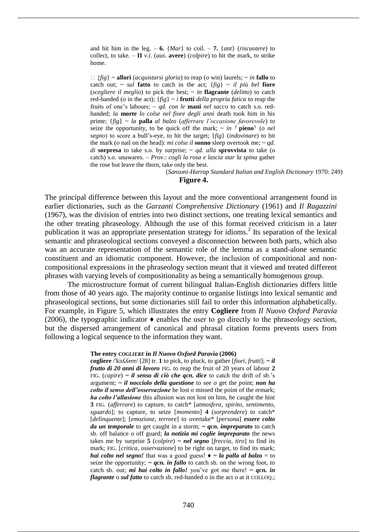and hit him in the leg.  $-6$ . {*Mar*} to coil.  $-7$ . {*ant*} (*riscuotere*) to collect, to take.  $-$  **II** *v.i.* (*aus.* **avere**) (*colpire*) to hit the mark, to strike home.

 $\Box$  {fig} ~ **allori** (*acquistarsi gloria*) to reap (*o* win) laurels; ~ *in* **fallo** to catch out;  $\sim$  *sul* **fatto** to catch in the act;  $\{fig\} \sim il$  *più bel* **fiore** (*scegliere il meglio*) to pick the best; ~ *in* **flagrante** (*delitto*) to catch red-handed (*o* in the act);  $\{fig\} \sim i$  **frutti** *della propria fatica* to reap the fruits of one's labours;  $\sim qd$ . con le **mani** nel sacco to catch s.o. redhanded; *la* **morte** *lo colse nel fiore degli anni* death took him in his prime; {*fig*} ~ *la* **palla** *al balzo* (*afferrare l'occasione favorevole*) to seize the opportunity, to be quick off the mark;  $\sim$  *in*  $\lceil$  **pieno**<sup>1</sup> (o *nel segno*) to score a bull's-eye, to hit the target; {*fig*} (*indovinare*) to hit the mark (*o* nail on the head): *mi colse il* **sonno** sleep overtook me; ~ *qd. di* **sorpresa** to take s.o. by surprise;  $\sim$  *qd. alla* **sprovvista** to take (*o* catch) s.o. unawares. – *Prov*.: *cogli la rosa e lascia star la spina* gather the rose but leave the thorn, take only the best.

(*Sansoni-Harrap Standard Italian and English Dictionary* 1970: 249)

# **Figure 4.**

The principal difference between this layout and the more conventional arrangement found in earlier dictionaries, such as the *Garzanti Comprehensive Dictionary* (1961) and *Il Ragazzini* (1967), was the division of entries into two distinct sections, one treating lexical semantics and the other treating phraseology. Although the use of this format received criticism in a later publication it was an appropriate presentation strategy for idioms.<sup>2</sup> Its separation of the lexical semantic and phraseological sections conveyed a disconnection between both parts, which also was an accurate representation of the semantic role of the lemma as a stand-alone semantic constituent and an idiomatic component. However, the inclusion of compositional and noncompositional expressions in the phraseology section meant that it viewed and treated different phrases with varying levels of compositionality as being a semantically homogenous group.

The microstructure format of current bilingual Italian-English dictionaries differs little from those of 40 years ago. The majority continue to organise listings into lexical semantic and phraseological sections, but some dictionaries still fail to order this information alphabetically. For example, in Figure 5, which illustrates the entry **Cogliere** from *Il Nuovo Oxford Paravia*  (2006), the typographic indicator  $\triangle$  enables the user to go directly to the phraseology section, but the dispersed arrangement of canonical and phrasal citation forms prevents users from following a logical sequence to the information they want.

### **The entry** *COGLIERE* **in** *Il Nuovo Oxford Paravia* **(2006)**

**cogliere** /ˈkɔʎʎere/ [28] tr. **1** to pick, to pluck, to gather [*fiori*, *frutti*]; *~ il frutto di 20 anni di lavoro* FIG. to reap the fruit of 20 years of labour **2** FIG. (*capire*) *~ il senso di ciò che qcn. dice* to catch the drift of sb.'s argument; *~ il nocciolo della questione* to see *o* get the point; *non ha colto il senso dell'osservazione* he lost *o* missed the point of the remark; *ha colto l'allusione* this allusion was not lost on him, he caught the hint **3** FIG. (*afferrare*) to capture, to catch\* [*atmosfera*, *spirito*, *sentimento*, *sguardo*]; to capture, to seize [*momento*] **4** (*sorprendere*) to catch\* [*delinquente*]; [*emozione*, *terrore*] to overtake\* [*persona*] *essere colto da un temporale* to get caught in a storm; *~ qcn. impreparato* to catch sb. off balance *o* off guard; *la notizia mi coglie impreparato* the news takes me by surprise **5** (*colpire*) *~ nel segno* [*freccia*, *tiro*] to find its mark; FIG. [*critica*, *osservazione*] to be right on target, to find its mark; *hai colto nel segno!* that was a good guess!  $\rightarrow \infty$  *la palla al balzo* = to seize the opportunity;  $\sim qcn$ . in fallo to catch sb. on the wrong foot, to catch sb. out; *mi hai colto in fallo!* you've got me there!  $\sim qcn$ . *in flagrante* o *sul fatto* to catch sb. red-handed *o* in the act *o* at it COLLOQ.;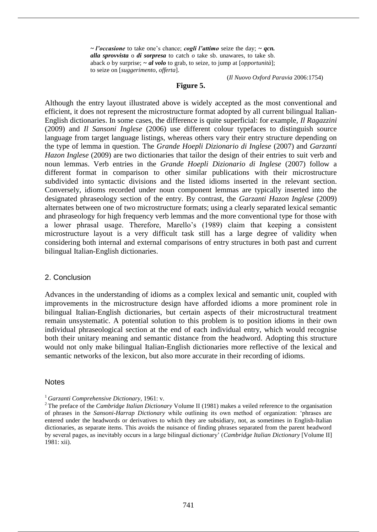*~ l'occasione* to take one's chance; *cogli l'attimo* seize the day; *~ qcn. alla sprovvista* o *di sorpresa* to catch *o* take sb. unawares, to take sb. aback *o* by surprise; *~ al volo* to grab, to seize, to jump at [*opportunità*]; to seize on [*suggerimento*, *offerta*].

(*Il Nuovo Oxford Paravia* 2006:1754)

# **Figure 5.**

Although the entry layout illustrated above is widely accepted as the most conventional and efficient, it does not represent the microstructure format adopted by all current bilingual Italian-English dictionaries. In some cases, the difference is quite superficial: for example, *Il Ragazzini* (2009) and *Il Sansoni Inglese* (2006) use different colour typefaces to distinguish source language from target language listings, whereas others vary their entry structure depending on the type of lemma in question. The *Grande Hoepli Dizionario di Inglese* (2007) and *Garzanti Hazon Inglese* (2009) are two dictionaries that tailor the design of their entries to suit verb and noun lemmas. Verb entries in the *Grande Hoepli Dizionario di Inglese* (2007) follow a different format in comparison to other similar publications with their microstructure subdivided into syntactic divisions and the listed idioms inserted in the relevant section. Conversely, idioms recorded under noun component lemmas are typically inserted into the designated phraseology section of the entry. By contrast, the *Garzanti Hazon Inglese* (2009) alternates between one of two microstructure formats; using a clearly separated lexical semantic and phraseology for high frequency verb lemmas and the more conventional type for those with a lower phrasal usage. Therefore, Marello's (1989) claim that keeping a consistent microstructure layout is a very difficult task still has a large degree of validity when considering both internal and external comparisons of entry structures in both past and current bilingual Italian-English dictionaries.

### 2. Conclusion

Advances in the understanding of idioms as a complex lexical and semantic unit, coupled with improvements in the microstructure design have afforded idioms a more prominent role in bilingual Italian-English dictionaries, but certain aspects of their microstructural treatment remain unsystematic. A potential solution to this problem is to position idioms in their own individual phraseological section at the end of each individual entry, which would recognise both their unitary meaning and semantic distance from the headword. Adopting this structure would not only make bilingual Italian-English dictionaries more reflective of the lexical and semantic networks of the lexicon, but also more accurate in their recording of idioms.

### **Notes**

<sup>1</sup> *Garzanti Comprehensive Dictionary*, 1961: v.

<sup>&</sup>lt;sup>2</sup> The preface of the *Cambridge Italian Dictionary* Volume II (1981) makes a veiled reference to the organisation of phrases in the *Sansoni-Harrap Dictionary* while outlining its own method of organization: 'phrases are entered under the headwords or derivatives to which they are subsidiary, not, as sometimes in English-Italian dictionaries, as separate items. This avoids the nuisance of finding phrases separated from the parent headword by several pages, as inevitably occurs in a large bilingual dictionary' (*Cambridge Italian Dictionary* [Volume II] 1981: xii).